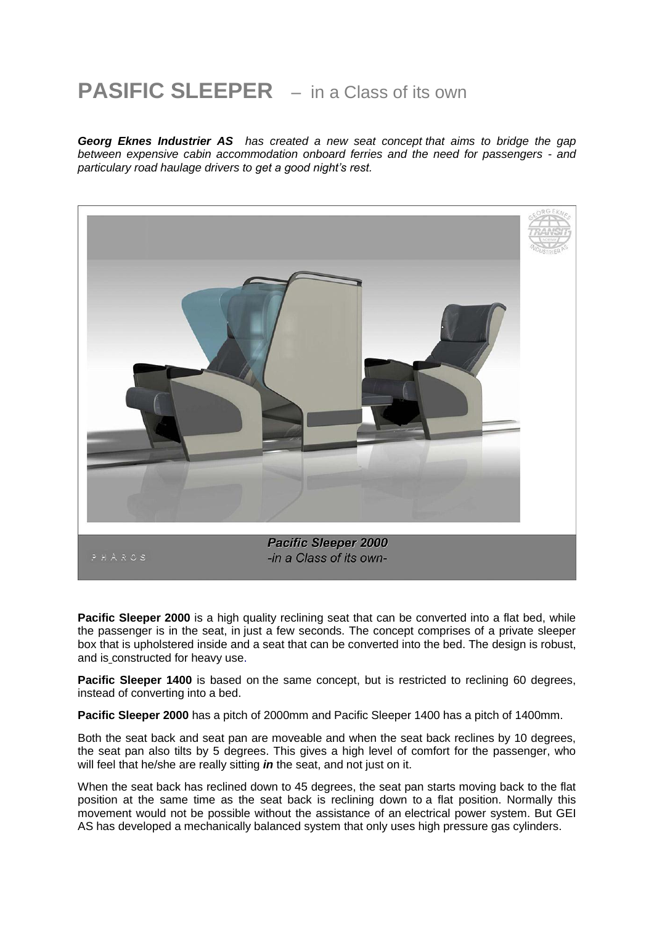## **PASIFIC SLEEPER** – in a Class of its own

*Georg Eknes Industrier AS has created a new seat concept that aims to bridge the gap between expensive cabin accommodation onboard ferries and the need for passengers - and particulary road haulage drivers to get a good night's rest.*



Pacific Sleeper 2000 is a high quality reclining seat that can be converted into a flat bed, while the passenger is in the seat, in just a few seconds. The concept comprises of a private sleeper box that is upholstered inside and a seat that can be converted into the bed. The design is robust, and is constructed for heavy use.

**Pacific Sleeper 1400** is based on the same concept, but is restricted to reclining 60 degrees, instead of converting into a bed.

**Pacific Sleeper 2000** has a pitch of 2000mm and Pacific Sleeper 1400 has a pitch of 1400mm.

Both the seat back and seat pan are moveable and when the seat back reclines by 10 degrees, the seat pan also tilts by 5 degrees. This gives a high level of comfort for the passenger, who will feel that he/she are really sitting *in* the seat, and not just on it.

When the seat back has reclined down to 45 degrees, the seat pan starts moving back to the flat position at the same time as the seat back is reclining down to a flat position. Normally this movement would not be possible without the assistance of an electrical power system. But GEI AS has developed a mechanically balanced system that only uses high pressure gas cylinders.